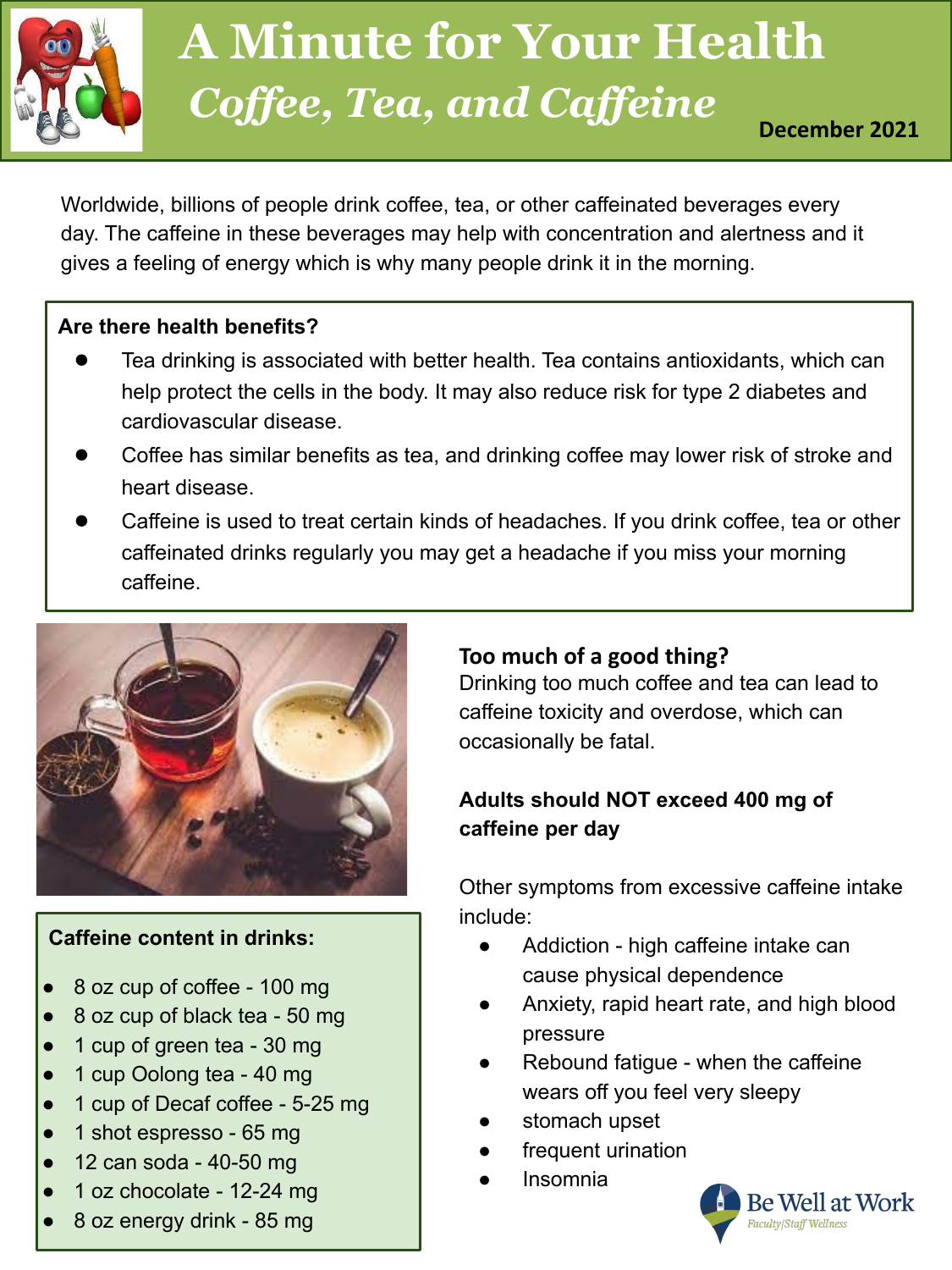

# **Coffee, Tea, and Caffeine A Minute for Your Health**

Worldwide, billions of people drink coffee, tea, or other caffeinated beverages every day. The caffeine in these beverages may help with concentration and alertness and it gives a feeling of energy which is why many people drink it in the morning.

#### **Are there health benefits?**

- Tea drinking is associated with better health. Tea contains antioxidants, which can help protect the cells in the body. It may also reduce risk for type 2 diabetes and cardiovascular disease.
- Coffee has similar benefits as tea, and drinking coffee may lower risk of stroke and heart disease.
- Caffeine is used to treat certain kinds of headaches. If you drink coffee, tea or other caffeinated drinks regularly you may get a headache if you miss your morning caffeine.



#### **Caffeine content in drinks:**

- 8 oz cup of coffee 100 mg
- 8 oz cup of black tea 50 mg
- 1 cup of green tea 30 mg
- 1 cup Oolong tea 40 mg
- 1 cup of Decaf coffee 5-25 mg
- 1 shot espresso 65 mg
- $\bullet$  12 can soda 40-50 mg
- 1 oz chocolate 12-24 mg
- 8 oz energy drink 85 mg

#### **Too much of a good thing?**

Drinking too much coffee and tea can lead to caffeine toxicity and overdose, which can occasionally be fatal.

#### **Adults should NOT exceed 400 mg of caffeine per day**

Other symptoms from excessive caffeine intake include:

- Addiction high caffeine intake can cause physical dependence
- Anxiety, rapid heart rate, and high blood pressure
- Rebound fatigue when the caffeine wears off you feel very sleepy
- stomach upset
- frequent urination
- **Insomnia**

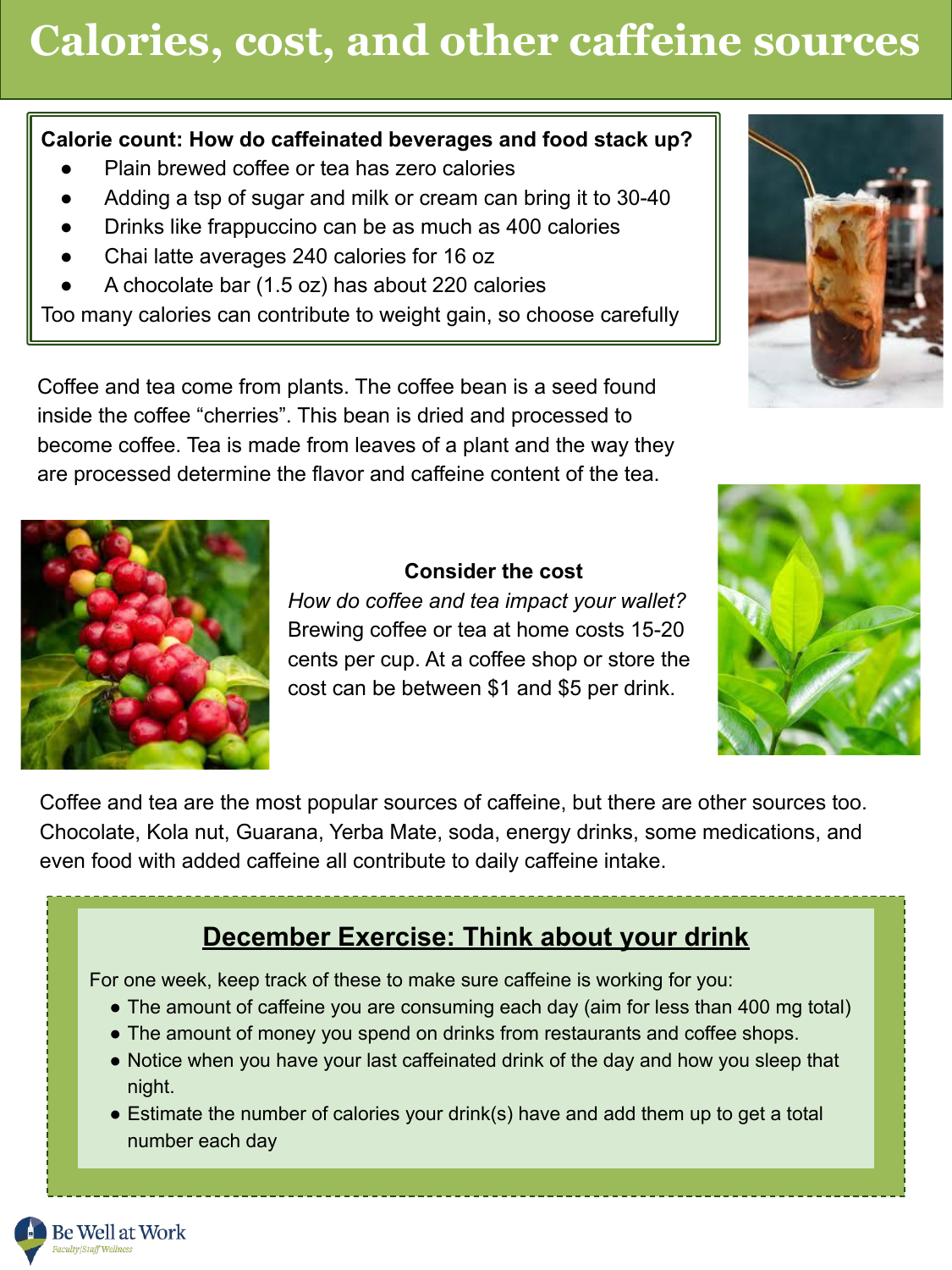# **Calories, cost, and other caffeine sources**

#### **Calorie count: How do caffeinated beverages and food stack up?**

- Plain brewed coffee or tea has zero calories
- Adding a tsp of sugar and milk or cream can bring it to 30-40
- Drinks like frappuccino can be as much as 400 calories
- Chai latte averages 240 calories for 16 oz
- A chocolate bar (1.5 oz) has about 220 calories

Too many calories can contribute to weight gain, so choose carefully

Coffee and tea come from plants. The coffee bean is a seed found inside the coffee "cherries". This bean is dried and processed to become coffee. Tea is made from leaves of a plant and the way they are processed determine the flavor and caffeine content of the tea.



#### **Consider the cost**

*How do coffee and tea impact your wallet?* Brewing coffee or tea at home costs 15-20 cents per cup. At a coffee shop or store the cost can be between \$1 and \$5 per drink.



Coffee and tea are the most popular sources of caffeine, but there are other sources too. Chocolate, Kola nut, Guarana, Yerba Mate, soda, energy drinks, some medications, and even food with added caffeine all contribute to daily caffeine intake.

#### **December Exercise: Think about your drink**

For one week, keep track of these to make sure caffeine is working for you:

- The amount of caffeine you are consuming each day (aim for less than 400 mg total)
- The amount of money you spend on drinks from restaurants and coffee shops.
- Notice when you have your last caffeinated drink of the day and how you sleep that night.
- Estimate the number of calories your drink(s) have and add them up to get a total number each day

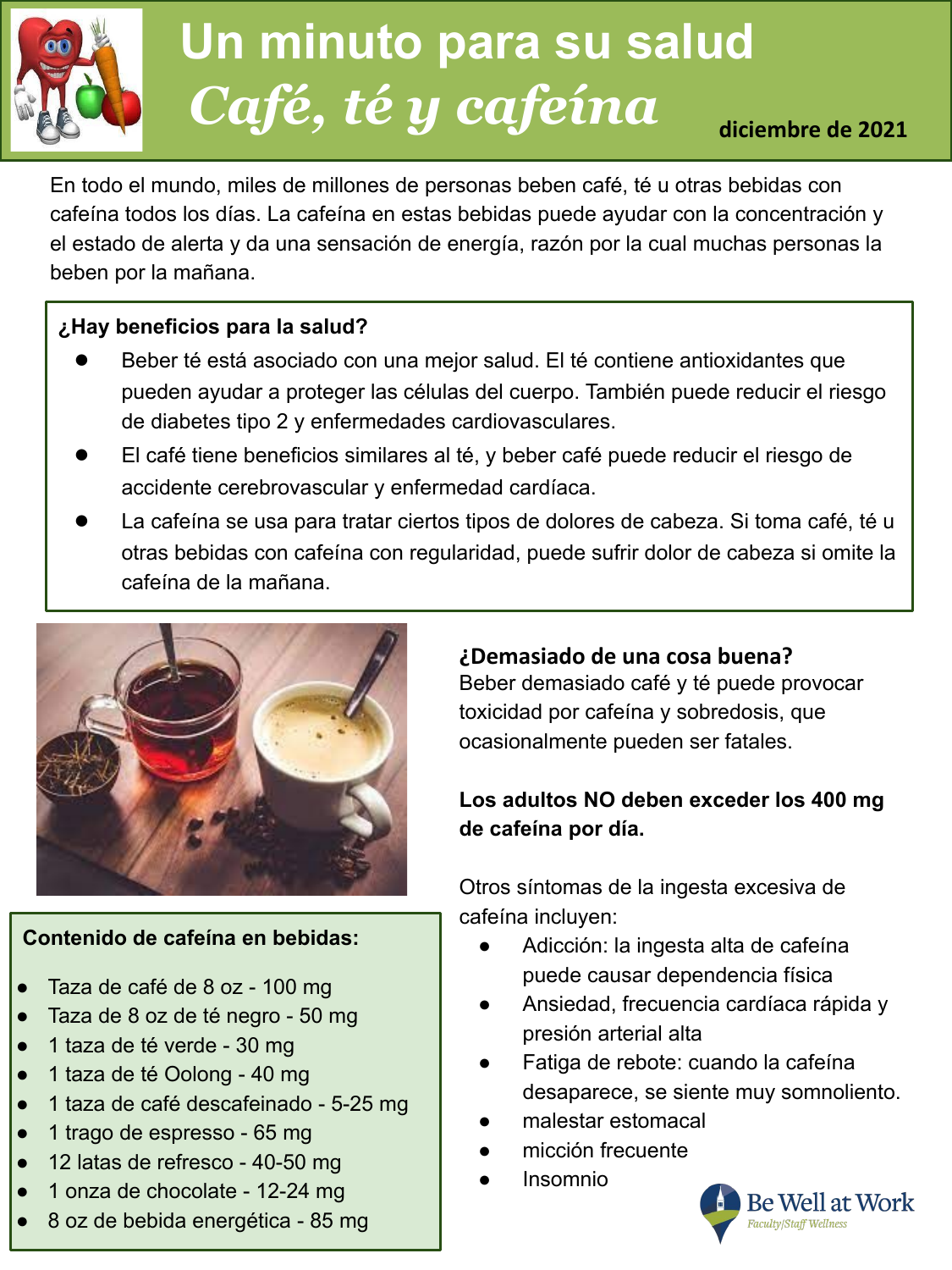

### nuu **Un minuto para su salud** *Café, té y cafeína* **diciembre de 2021**

En todo el mundo, miles de millones de personas beben café, té u otras bebidas con cafeína todos los días. La cafeína en estas bebidas puede ayudar con la concentración y el estado de alerta y da una sensación de energía, razón por la cual muchas personas la beben por la mañana.

#### **¿Hay beneficios para la salud?**

- Beber té está asociado con una mejor salud. El té contiene antioxidantes que pueden ayudar a proteger las células del cuerpo. También puede reducir el riesgo de diabetes tipo 2 y enfermedades cardiovasculares.
- El café tiene beneficios similares al té, y beber café puede reducir el riesgo de accidente cerebrovascular y enfermedad cardíaca.
- La cafeína se usa para tratar ciertos tipos de dolores de cabeza. Si toma café, té u otras bebidas con cafeína con regularidad, puede sufrir dolor de cabeza si omite la cafeína de la mañana.



#### **Contenido de cafeína en bebidas:**

- Taza de café de 8 oz 100 mg
- Taza de 8 oz de té negro 50 mg
- 1 taza de té verde 30 mg
- 1 taza de té Oolong 40 mg
- 1 taza de café descafeinado 5-25 mg
- 1 trago de espresso 65 mg
- 12 latas de refresco 40-50 mg
- 1 onza de chocolate 12-24 mg
- 8 oz de bebida energética 85 mg

#### **¿Demasiado de una cosa buena?**

Beber demasiado café y té puede provocar toxicidad por cafeína y sobredosis, que ocasionalmente pueden ser fatales.

#### **Los adultos NO deben exceder los 400 mg de cafeína por día.**

Otros síntomas de la ingesta excesiva de cafeína incluyen:

- Adicción: la ingesta alta de cafeína puede causar dependencia física
- Ansiedad, frecuencia cardíaca rápida y presión arterial alta
- Fatiga de rebote: cuando la cafeína desaparece, se siente muy somnoliento.
- malestar estomacal
- micción frecuente
- **Insomnio**

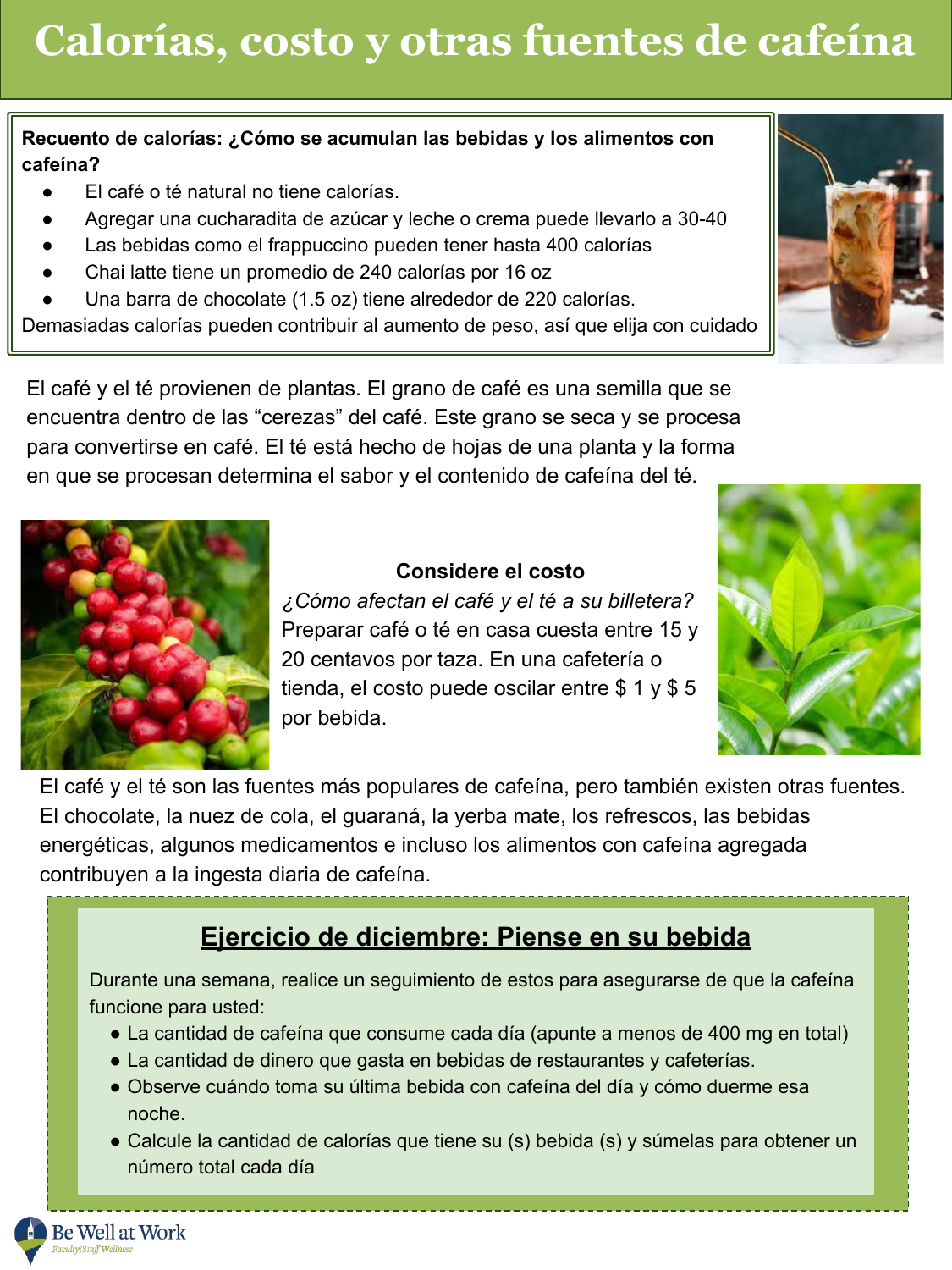#### **Recuento de calorías: ¿Cómo se acumulan las bebidas y los alimentos con cafeína?**

- El café o té natural no tiene calorías.
- Agregar una cucharadita de azúcar y leche o crema puede llevarlo a 30-40
- Las bebidas como el frappuccino pueden tener hasta 400 calorías
- Chai latte tiene un promedio de 240 calorías por 16 oz
- Una barra de chocolate (1.5 oz) tiene alrededor de 220 calorías.

Demasiadas calorías pueden contribuir al aumento de peso, así que elija con cuidado

El café y el té provienen de plantas. El grano de café es una semilla que se encuentra dentro de las "cerezas" del café. Este grano se seca y se procesa para convertirse en café. El té está hecho de hojas de una planta y la forma en que se procesan determina el sabor y el contenido de cafeína del té.



#### **Considere el costo**

*¿Cómo afectan el café y el té a su billetera?* Preparar café o té en casa cuesta entre 15 y 20 centavos por taza. En una cafetería o tienda, el costo puede oscilar entre \$ 1 y \$ 5 por bebida.



El café y el té son las fuentes más populares de cafeína, pero también existen otras fuentes. El chocolate, la nuez de cola, el guaraná, la yerba mate, los refrescos, las bebidas energéticas, algunos medicamentos e incluso los alimentos con cafeína agregada contribuyen a la ingesta diaria de cafeína.

### **Ejercicio de diciembre: Piense en su bebida**

Durante una semana, realice un seguimiento de estos para asegurarse de que la cafeína funcione para usted:

- La cantidad de cafeína que consume cada día (apunte a menos de 400 mg en total)
- La cantidad de dinero que gasta en bebidas de restaurantes y cafeterías.
- Observe cuándo toma su última bebida con cafeína del día y cómo duerme esa noche.
- Calcule la cantidad de calorías que tiene su (s) bebida (s) y súmelas para obtener un número total cada día

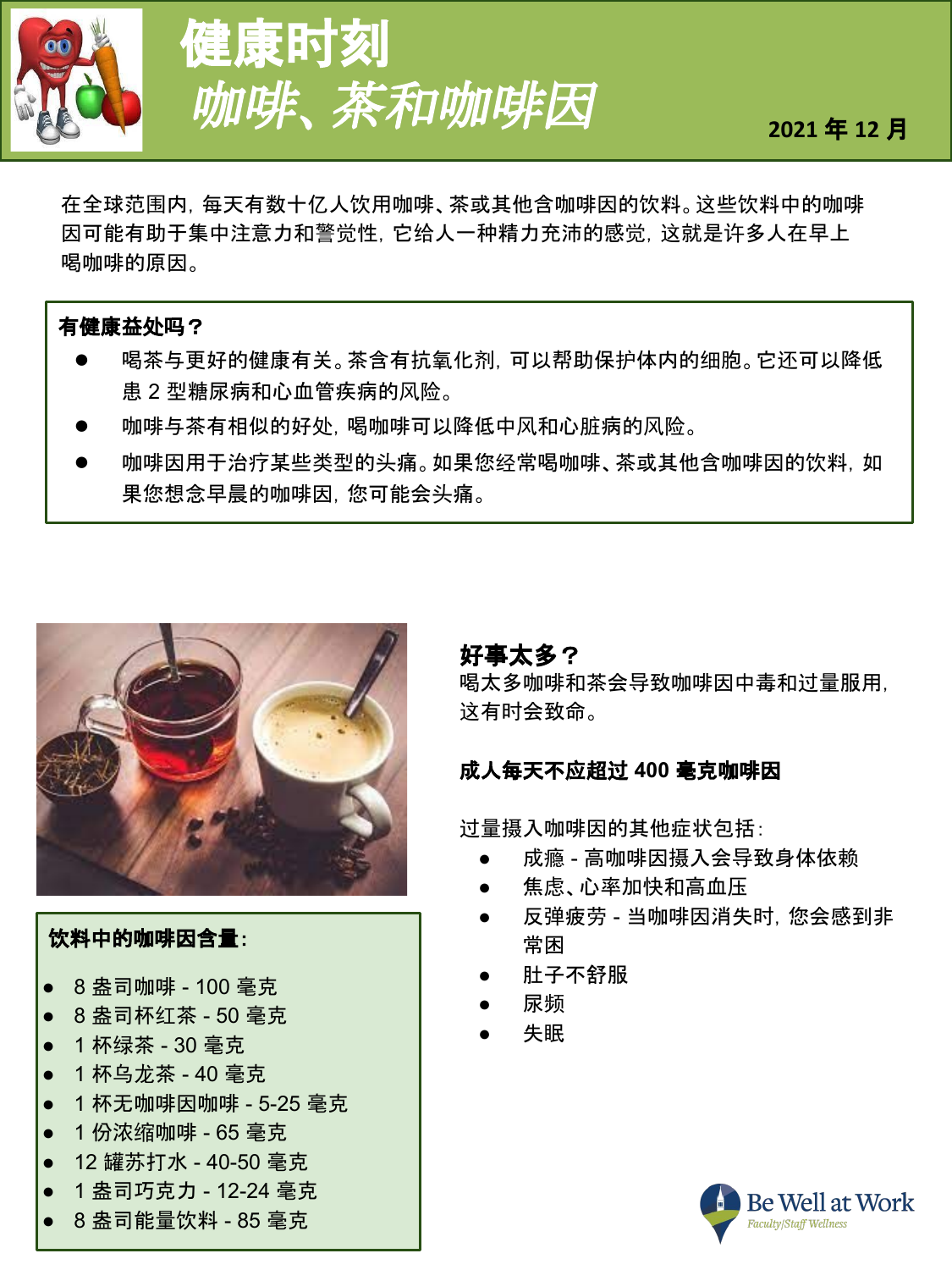

# 健康时刻 **咖啡、茶和咖啡因 2021年12月**

在全球范围内,每天有数十亿人饮用咖啡、茶或其他含咖啡因的饮料。这些饮料中的咖啡 因可能有助于集中注意力和警觉性,它给人一种精力充沛的感觉,这就是许多人在早上 喝咖啡的原因。

#### 有健康益处吗?

- 喝茶与更好的健康有关。茶含有抗氧化剂,可以帮助保护体内的细胞。它还可以降低 患 2 型糖尿病和心血管疾病的风险。
- 咖啡与茶有相似的好处, 喝咖啡可以降低中风和心脏病的风险。
- 咖啡因用于治疗某些类型的头痛。如果您经常喝咖啡、茶或其他含咖啡因的饮料, 如 果您想念早晨的咖啡因,您可能会头痛。



#### 饮料中的咖啡因含量:

- 8 盎司咖啡 100 毫克
- 8 盎司杯红茶 50 毫克
- 1 杯绿茶 30 毫克
- 1杯乌龙茶 40 毫克
- 1 杯无咖啡因咖啡 5-25 毫克
- 1 份浓缩咖啡 65 毫克
- 12 罐苏打水 40-50 毫克
- 1 盎司巧克力 12-24 毫克
- 8 盎司能量饮料 85 毫克

#### 好事太多?

喝太多咖啡和茶会导致咖啡因中毒和过量服用, 这有时会致命。

#### 成人每天不应超过 **400** 毫克咖啡因

过量摄入咖啡因的其他症状包括:

- 成瘾 高咖啡因摄入会导致身体依赖
- 焦虑、心率加快和高血压
- 反弹疲劳 当咖啡因消失时,您会感到非 常困
- 肚子不舒服
- 尿频
- 失眠